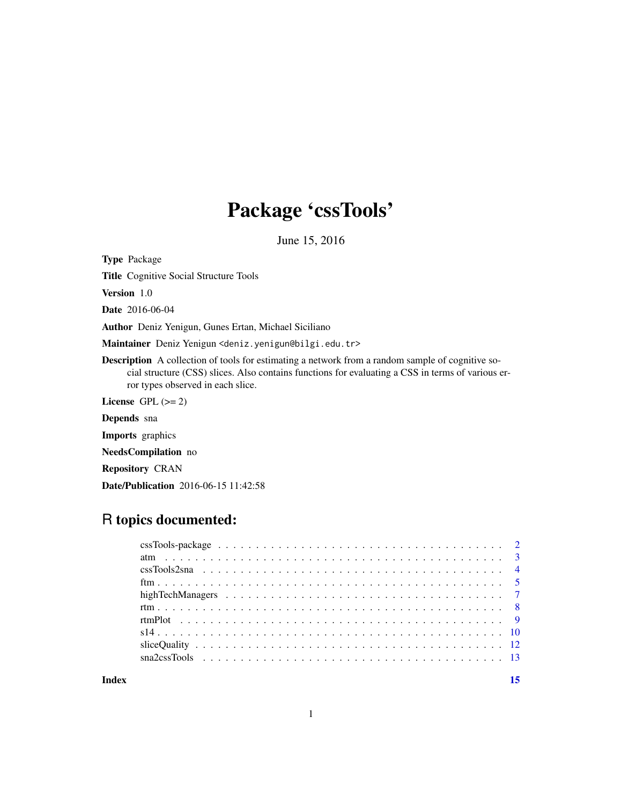## Package 'cssTools'

June 15, 2016

Type Package

Title Cognitive Social Structure Tools

Version 1.0

Date 2016-06-04

Author Deniz Yenigun, Gunes Ertan, Michael Siciliano

Maintainer Deniz Yenigun <deniz.yenigun@bilgi.edu.tr>

Description A collection of tools for estimating a network from a random sample of cognitive social structure (CSS) slices. Also contains functions for evaluating a CSS in terms of various error types observed in each slice.

License GPL  $(>= 2)$ 

Depends sna

Imports graphics

NeedsCompilation no

Repository CRAN

Date/Publication 2016-06-15 11:42:58

## R topics documented:

**Index** [15](#page-14-0)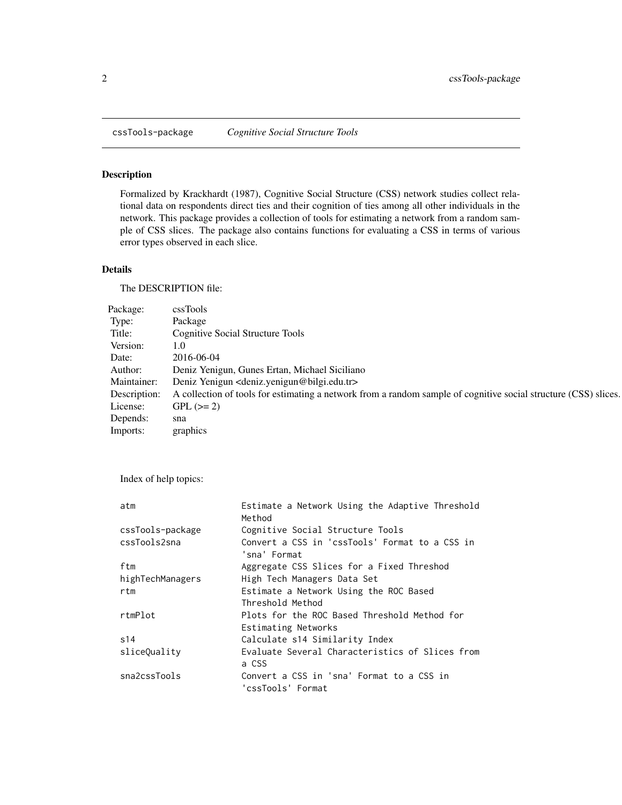<span id="page-1-0"></span>

## Description

Formalized by Krackhardt (1987), Cognitive Social Structure (CSS) network studies collect relational data on respondents direct ties and their cognition of ties among all other individuals in the network. This package provides a collection of tools for estimating a network from a random sample of CSS slices. The package also contains functions for evaluating a CSS in terms of various error types observed in each slice.

## Details

The DESCRIPTION file:

| Package:     | cssTools                                                                                                        |  |
|--------------|-----------------------------------------------------------------------------------------------------------------|--|
| Type:        | Package                                                                                                         |  |
| Title:       | Cognitive Social Structure Tools                                                                                |  |
| Version:     | l.O                                                                                                             |  |
| Date:        | 2016-06-04                                                                                                      |  |
| Author:      | Deniz Yenigun, Gunes Ertan, Michael Siciliano                                                                   |  |
| Maintainer:  | Deniz Yenigun <deniz.yenigun@bilgi.edu.tr></deniz.yenigun@bilgi.edu.tr>                                         |  |
| Description: | A collection of tools for estimating a network from a random sample of cognitive social structure (CSS) slices. |  |
| License:     | $GPL (= 2)$                                                                                                     |  |
| Depends:     | sna                                                                                                             |  |
| Imports:     | graphics                                                                                                        |  |

Index of help topics:

| atm              | Estimate a Network Using the Adaptive Threshold<br>Method      |
|------------------|----------------------------------------------------------------|
| cssTools-package | Cognitive Social Structure Tools                               |
| cssTools2sna     | Convert a CSS in 'cssTools' Format to a CSS in<br>'sna' Format |
| ftm              | Aggregate CSS Slices for a Fixed Threshod                      |
| highTechManagers | High Tech Managers Data Set                                    |
| rtm              | Estimate a Network Using the ROC Based                         |
|                  | Threshold Method                                               |
| rtmPlot          | Plots for the ROC Based Threshold Method for                   |
|                  | Estimating Networks                                            |
| s14              | Calculate s14 Similarity Index                                 |
| sliceQuality     | Evaluate Several Characteristics of Slices from<br>a CSS       |
| sna2cssTools     | Convert a CSS in 'sna' Format to a CSS in<br>'cssTools' Format |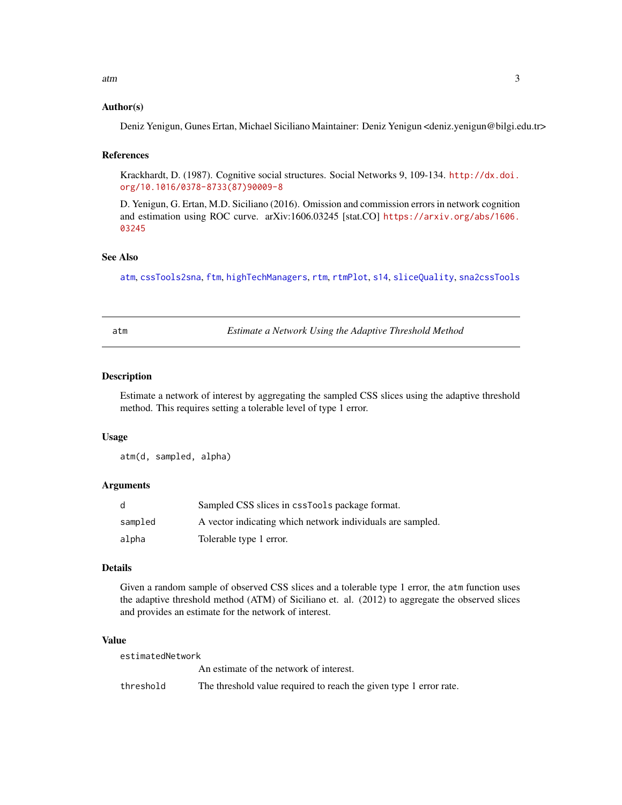<span id="page-2-0"></span>atm 3

## Author(s)

Deniz Yenigun, Gunes Ertan, Michael Siciliano Maintainer: Deniz Yenigun <deniz.yenigun@bilgi.edu.tr>

#### References

Krackhardt, D. (1987). Cognitive social structures. Social Networks 9, 109-134. [http://dx.doi.](http://dx.doi.org/10.1016/0378-8733(87)90009-8) [org/10.1016/0378-8733\(87\)90009-8](http://dx.doi.org/10.1016/0378-8733(87)90009-8)

D. Yenigun, G. Ertan, M.D. Siciliano (2016). Omission and commission errors in network cognition and estimation using ROC curve. arXiv:1606.03245 [stat.CO] [https://arxiv.org/abs/1606.](https://arxiv.org/abs/1606.03245) [03245](https://arxiv.org/abs/1606.03245)

## See Also

[atm](#page-2-1), [cssTools2sna](#page-3-1), [ftm](#page-4-1), [highTechManagers](#page-6-1), [rtm](#page-7-1), [rtmPlot](#page-8-1), [s14](#page-9-1), [sliceQuality](#page-11-1), [sna2cssTools](#page-12-1)

<span id="page-2-1"></span>atm *Estimate a Network Using the Adaptive Threshold Method*

## Description

Estimate a network of interest by aggregating the sampled CSS slices using the adaptive threshold method. This requires setting a tolerable level of type 1 error.

#### Usage

atm(d, sampled, alpha)

## Arguments

| d       | Sampled CSS slices in cssTools package format.             |
|---------|------------------------------------------------------------|
| sampled | A vector indicating which network individuals are sampled. |
| alpha   | Tolerable type 1 error.                                    |

## Details

Given a random sample of observed CSS slices and a tolerable type 1 error, the atm function uses the adaptive threshold method (ATM) of Siciliano et. al. (2012) to aggregate the observed slices and provides an estimate for the network of interest.

#### Value

| estimatedNetwork |                                                                    |  |
|------------------|--------------------------------------------------------------------|--|
|                  | An estimate of the network of interest.                            |  |
| threshold        | The threshold value required to reach the given type 1 error rate. |  |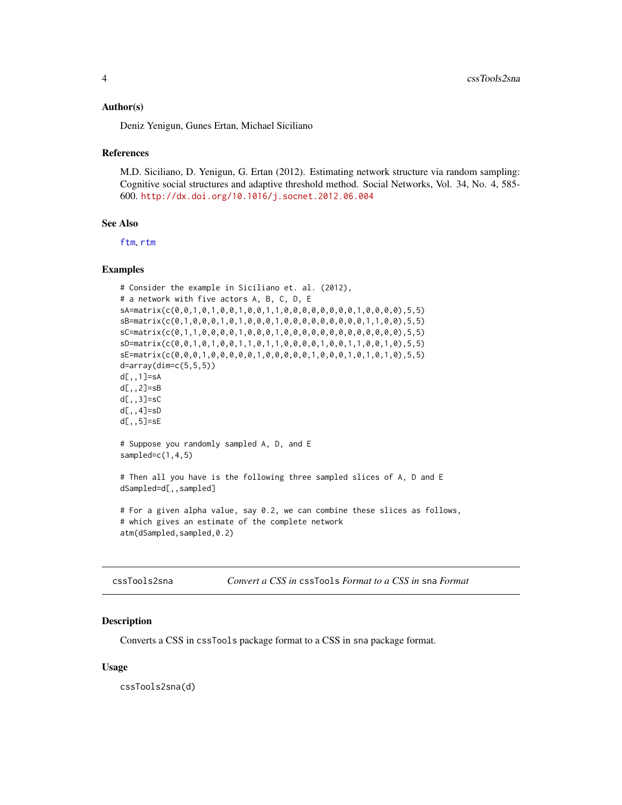#### <span id="page-3-0"></span>Author(s)

Deniz Yenigun, Gunes Ertan, Michael Siciliano

#### References

M.D. Siciliano, D. Yenigun, G. Ertan (2012). Estimating network structure via random sampling: Cognitive social structures and adaptive threshold method. Social Networks, Vol. 34, No. 4, 585- 600. <http://dx.doi.org/10.1016/j.socnet.2012.06.004>

## See Also

[ftm](#page-4-1), [rtm](#page-7-1)

#### Examples

```
# Consider the example in Siciliano et. al. (2012),
# a network with five actors A, B, C, D, E
sA=matrix(c(0,0,1,0,1,0,0,1,0,0,1,1,0,0,0,0,0,0,0,0,1,0,0,0,0),5,5)
sB=matrix(c(0,1,0,0,0,1,0,1,0,0,0,1,0,0,0,0,0,0,0,0,0,1,1,0,0),5,5)
sC=matrix(c(0,1,1,0,0,0,0,1,0,0,0,1,0,0,0,0,0,0,0,0,0,0,0,0,0),5,5)
sD=matrix(c(0,0,1,0,1,0,0,1,1,0,1,1,0,0,0,0,1,0,0,1,1,0,0,1,0),5,5)
sE=matrix(c(0,0,0,1,0,0,0,0,0,1,0,0,0,0,0,1,0,0,0,1,0,1,0,1,0),5,5)
d=array(dim=c(5,5,5))
d[,,1]=sA
d[,,2]=sB
d[,,3]=sC
d[,,4]=sD
d[,,5]=sE
# Suppose you randomly sampled A, D, and E
sampled=c(1,4,5)
# Then all you have is the following three sampled slices of A, D and E
dSampled=d[,,sampled]
# For a given alpha value, say 0.2, we can combine these slices as follows,
# which gives an estimate of the complete network
atm(dSampled,sampled,0.2)
```
<span id="page-3-1"></span>

| cssTools2sna |  |  |  | Convert a CSS in cssTools Format to a CSS in sna Format |  |  |
|--------------|--|--|--|---------------------------------------------------------|--|--|
|--------------|--|--|--|---------------------------------------------------------|--|--|

#### Description

Converts a CSS in cssTools package format to a CSS in sna package format.

#### Usage

cssTools2sna(d)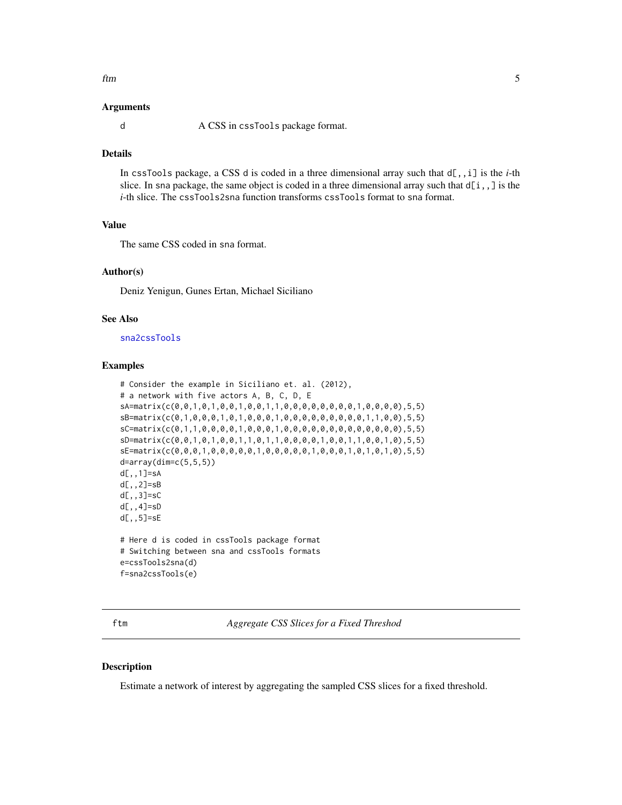<span id="page-4-0"></span>ftm 5

#### Arguments

d A CSS in cssTools package format.

## **Details**

In cssTools package, a CSS d is coded in a three dimensional array such that d[,,i] is the *i*-th slice. In sna package, the same object is coded in a three dimensional array such that  $d[i, j]$  is the *i*-th slice. The cssTools2sna function transforms cssTools format to sna format.

## Value

The same CSS coded in sna format.

#### Author(s)

Deniz Yenigun, Gunes Ertan, Michael Siciliano

#### See Also

[sna2cssTools](#page-12-1)

#### Examples

```
# Consider the example in Siciliano et. al. (2012),
# a network with five actors A, B, C, D, E
sA=matrix(c(0,0,1,0,1,0,0,1,0,0,1,1,0,0,0,0,0,0,0,0,1,0,0,0,0),5,5)
sB=matrix(c(0,1,0,0,0,1,0,1,0,0,0,1,0,0,0,0,0,0,0,0,0,1,1,0,0),5,5)
sC=matrix(c(0,1,1,0,0,0,0,1,0,0,0,1,0,0,0,0,0,0,0,0,0,0,0,0,0),5,5)
sD=matrix(c(0,0,1,0,1,0,0,1,1,0,1,1,0,0,0,0,1,0,0,1,1,0,0,1,0),5,5)
sE=matrix(c(0,0,0,1,0,0,0,0,0,1,0,0,0,0,0,1,0,0,0,1,0,1,0,1,0),5,5)
d=array(dim=c(5,5,5))
d[,,1]=sA
d[,,2]=sB
d[,,3]=sC
d[,,4]=sD
d[,,5]=sE
# Here d is coded in cssTools package format
# Switching between sna and cssTools formats
e=cssTools2sna(d)
f=sna2cssTools(e)
```
<span id="page-4-1"></span>ftm *Aggregate CSS Slices for a Fixed Threshod*

## **Description**

Estimate a network of interest by aggregating the sampled CSS slices for a fixed threshold.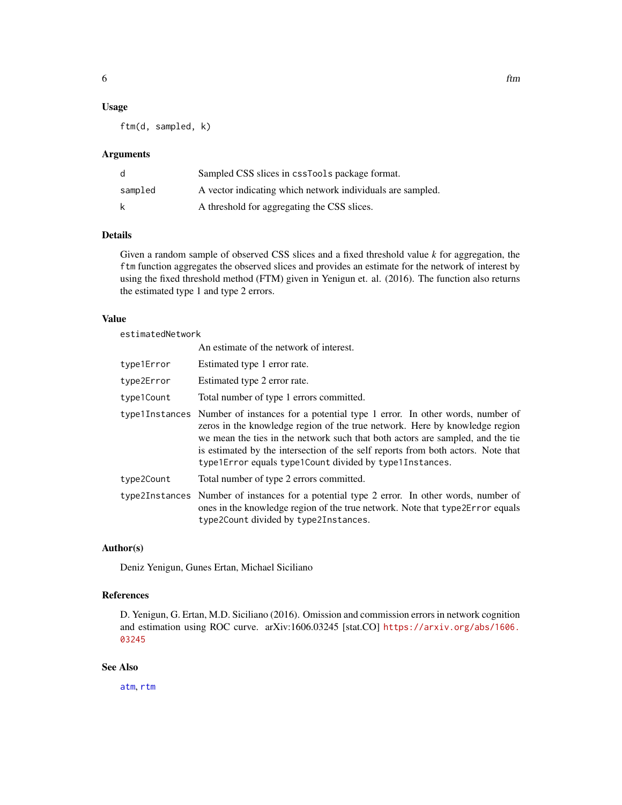#### <span id="page-5-0"></span>Usage

ftm(d, sampled, k)

#### Arguments

| d       | Sampled CSS slices in cssTools package format.             |
|---------|------------------------------------------------------------|
| sampled | A vector indicating which network individuals are sampled. |
|         | A threshold for aggregating the CSS slices.                |

## Details

Given a random sample of observed CSS slices and a fixed threshold value *k* for aggregation, the ftm function aggregates the observed slices and provides an estimate for the network of interest by using the fixed threshold method (FTM) given in Yenigun et. al. (2016). The function also returns the estimated type 1 and type 2 errors.

## Value

estimatedNetwork

|            | An estimate of the network of interest.                                                                                                                                                                                                                                                                                                                                                                    |
|------------|------------------------------------------------------------------------------------------------------------------------------------------------------------------------------------------------------------------------------------------------------------------------------------------------------------------------------------------------------------------------------------------------------------|
| type1Error | Estimated type 1 error rate.                                                                                                                                                                                                                                                                                                                                                                               |
| type2Error | Estimated type 2 error rate.                                                                                                                                                                                                                                                                                                                                                                               |
| type1Count | Total number of type 1 errors committed.                                                                                                                                                                                                                                                                                                                                                                   |
|            | type1Instances Number of instances for a potential type 1 error. In other words, number of<br>zeros in the knowledge region of the true network. Here by knowledge region<br>we mean the ties in the network such that both actors are sampled, and the tie<br>is estimated by the intersection of the self reports from both actors. Note that<br>type1Error equals type1Count divided by type1Instances. |
| type2Count | Total number of type 2 errors committed.                                                                                                                                                                                                                                                                                                                                                                   |
|            | type2Instances Number of instances for a potential type 2 error. In other words, number of<br>ones in the knowledge region of the true network. Note that type 2 Error equals<br>type2Count divided by type2Instances.                                                                                                                                                                                     |

## Author(s)

Deniz Yenigun, Gunes Ertan, Michael Siciliano

## References

D. Yenigun, G. Ertan, M.D. Siciliano (2016). Omission and commission errors in network cognition and estimation using ROC curve. arXiv:1606.03245 [stat.CO] [https://arxiv.org/abs/1606.](https://arxiv.org/abs/1606.03245) [03245](https://arxiv.org/abs/1606.03245)

#### See Also

[atm](#page-2-1), [rtm](#page-7-1)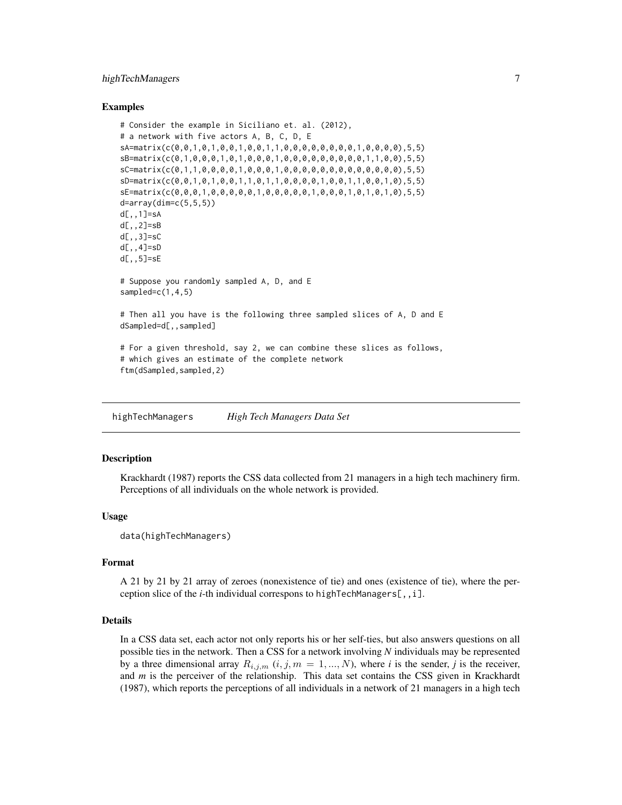## <span id="page-6-0"></span>highTechManagers 7

#### Examples

```
# Consider the example in Siciliano et. al. (2012),
# a network with five actors A, B, C, D, E
sA=matrix(c(0,0,1,0,1,0,0,1,0,0,1,1,0,0,0,0,0,0,0,0,1,0,0,0,0),5,5)
sB=matrix(c(0,1,0,0,0,1,0,1,0,0,0,1,0,0,0,0,0,0,0,0,0,1,1,0,0),5,5)
sC=matrix(c(0,1,1,0,0,0,0,1,0,0,0,1,0,0,0,0,0,0,0,0,0,0,0,0,0),5,5)
sD=matrix(c(0,0,1,0,1,0,0,1,1,0,1,1,0,0,0,0,1,0,0,1,1,0,0,1,0),5,5)
sE=matrix(c(0,0,0,1,0,0,0,0,0,1,0,0,0,0,0,1,0,0,0,1,0,1,0,1,0),5,5)
d=array(dim=c(5,5,5))
d[,,1]=sA
d[,,2]=sB
d[,,3]=sC
d[,,4]=sD
d[,,5]=sE
# Suppose you randomly sampled A, D, and E
sampled=c(1,4,5)
# Then all you have is the following three sampled slices of A, D and E
dSampled=d[,,sampled]
# For a given threshold, say 2, we can combine these slices as follows,
# which gives an estimate of the complete network
ftm(dSampled,sampled,2)
```
<span id="page-6-1"></span>highTechManagers *High Tech Managers Data Set*

#### Description

Krackhardt (1987) reports the CSS data collected from 21 managers in a high tech machinery firm. Perceptions of all individuals on the whole network is provided.

#### Usage

```
data(highTechManagers)
```
#### Format

A 21 by 21 by 21 array of zeroes (nonexistence of tie) and ones (existence of tie), where the perception slice of the *i*-th individual correspons to highTechManagers[,,i].

## Details

In a CSS data set, each actor not only reports his or her self-ties, but also answers questions on all possible ties in the network. Then a CSS for a network involving *N* individuals may be represented by a three dimensional array  $R_{i,j,m}$   $(i, j, m = 1, ..., N)$ , where *i* is the sender, *j* is the receiver, and *m* is the perceiver of the relationship. This data set contains the CSS given in Krackhardt (1987), which reports the perceptions of all individuals in a network of 21 managers in a high tech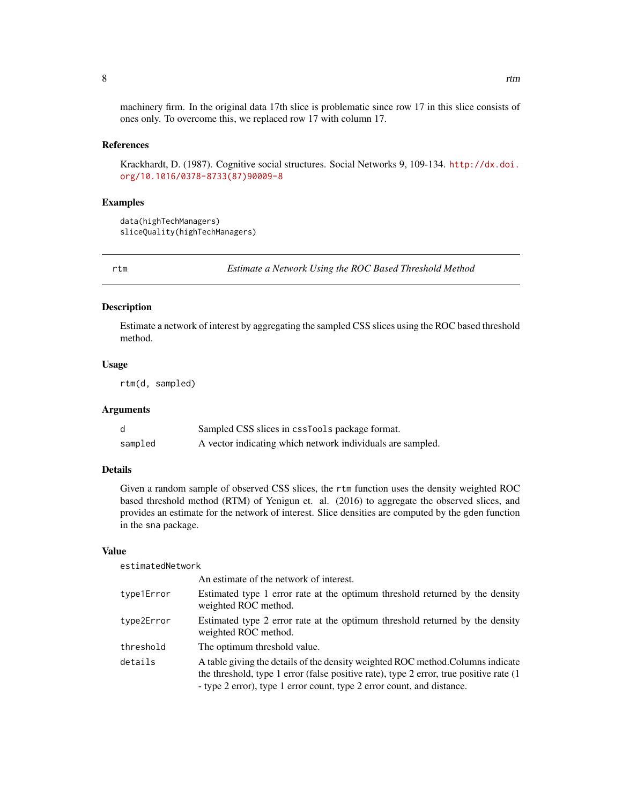<span id="page-7-0"></span>machinery firm. In the original data 17th slice is problematic since row 17 in this slice consists of ones only. To overcome this, we replaced row 17 with column 17.

#### References

Krackhardt, D. (1987). Cognitive social structures. Social Networks 9, 109-134. [http://dx.doi.](http://dx.doi.org/10.1016/0378-8733(87)90009-8) [org/10.1016/0378-8733\(87\)90009-8](http://dx.doi.org/10.1016/0378-8733(87)90009-8)

## Examples

```
data(highTechManagers)
sliceQuality(highTechManagers)
```
<span id="page-7-1"></span>rtm *Estimate a Network Using the ROC Based Threshold Method*

## Description

Estimate a network of interest by aggregating the sampled CSS slices using the ROC based threshold method.

#### Usage

rtm(d, sampled)

#### Arguments

|         | Sampled CSS slices in cssTools package format.             |
|---------|------------------------------------------------------------|
| sampled | A vector indicating which network individuals are sampled. |

## Details

Given a random sample of observed CSS slices, the rtm function uses the density weighted ROC based threshold method (RTM) of Yenigun et. al. (2016) to aggregate the observed slices, and provides an estimate for the network of interest. Slice densities are computed by the gden function in the sna package.

#### Value

estimatedNetwork

|            | An estimate of the network of interest.                                                                                                                                                                                                                |
|------------|--------------------------------------------------------------------------------------------------------------------------------------------------------------------------------------------------------------------------------------------------------|
| type1Error | Estimated type 1 error rate at the optimum threshold returned by the density<br>weighted ROC method.                                                                                                                                                   |
| type2Error | Estimated type 2 error rate at the optimum threshold returned by the density<br>weighted ROC method.                                                                                                                                                   |
| threshold  | The optimum threshold value.                                                                                                                                                                                                                           |
| details    | A table giving the details of the density weighted ROC method. Columns indicate<br>the threshold, type 1 error (false positive rate), type 2 error, true positive rate $(1)$<br>- type 2 error), type 1 error count, type 2 error count, and distance. |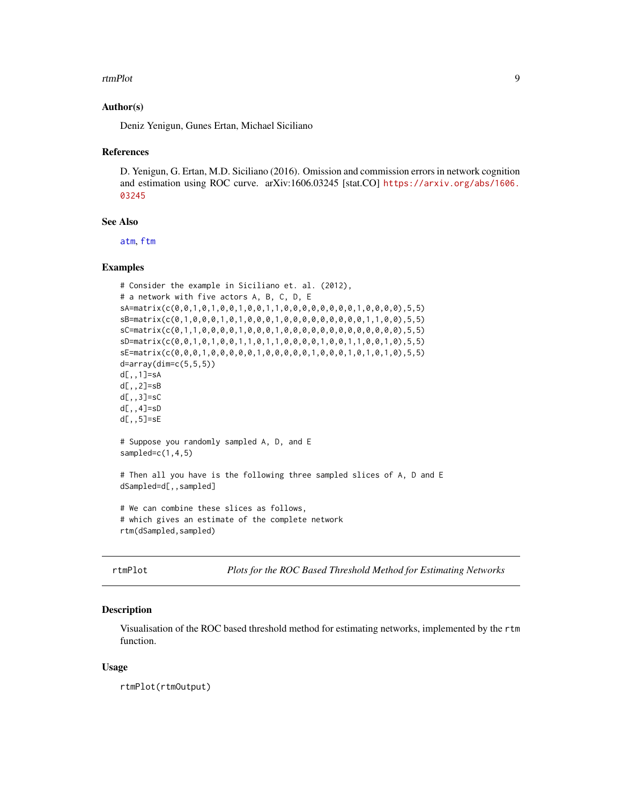#### <span id="page-8-0"></span>rtmPlot 9

## Author(s)

Deniz Yenigun, Gunes Ertan, Michael Siciliano

#### References

D. Yenigun, G. Ertan, M.D. Siciliano (2016). Omission and commission errors in network cognition and estimation using ROC curve. arXiv:1606.03245 [stat.CO] [https://arxiv.org/abs/1606.](https://arxiv.org/abs/1606.03245) [03245](https://arxiv.org/abs/1606.03245)

## See Also

[atm](#page-2-1), [ftm](#page-4-1)

## Examples

```
# Consider the example in Siciliano et. al. (2012),
# a network with five actors A, B, C, D, E
sA=matrix(c(0,0,1,0,1,0,0,1,0,0,1,1,0,0,0,0,0,0,0,0,1,0,0,0,0),5,5)
sB=matrix(c(0,1,0,0,0,1,0,1,0,0,0,1,0,0,0,0,0,0,0,0,0,1,1,0,0),5,5)
sC=matrix(c(0,1,1,0,0,0,0,1,0,0,0,1,0,0,0,0,0,0,0,0,0,0,0,0,0),5,5)
sD=matrix(c(0,0,1,0,1,0,0,1,1,0,1,1,0,0,0,0,1,0,0,1,1,0,0,1,0),5,5)
sE=matrix(c(0,0,0,1,0,0,0,0,0,1,0,0,0,0,0,1,0,0,0,1,0,1,0,1,0),5,5)
d=array(dim=c(5,5,5))
d[,,1]=sA
d[,,2]=sB
d[,,3]=sC
d[,,4]=sD
d[,,5]=sE
# Suppose you randomly sampled A, D, and E
sampled=c(1,4,5)
# Then all you have is the following three sampled slices of A, D and E
dSampled=d[,,sampled]
# We can combine these slices as follows,
# which gives an estimate of the complete network
rtm(dSampled,sampled)
```
<span id="page-8-1"></span>rtmPlot *Plots for the ROC Based Threshold Method for Estimating Networks*

#### Description

Visualisation of the ROC based threshold method for estimating networks, implemented by the rtm function.

#### Usage

rtmPlot(rtmOutput)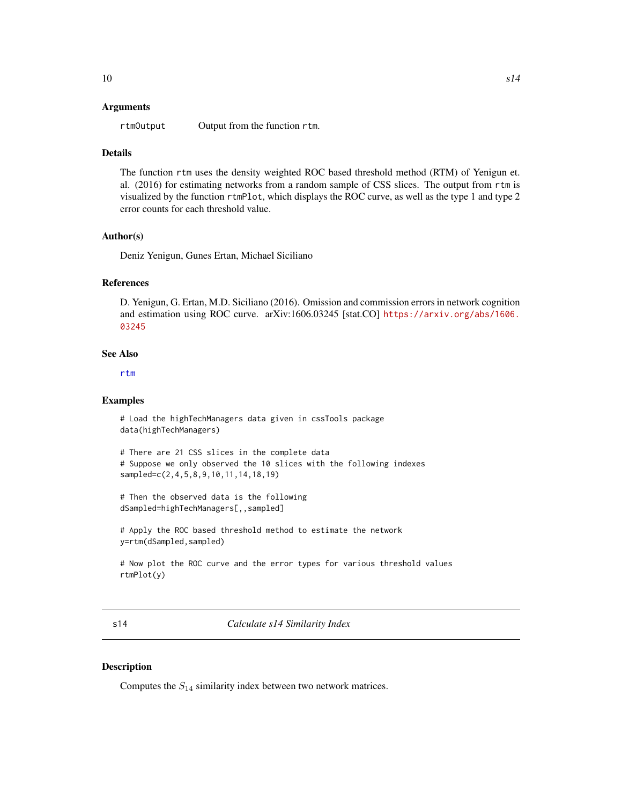#### <span id="page-9-0"></span>Arguments

rtmOutput Output from the function rtm.

#### Details

The function rtm uses the density weighted ROC based threshold method (RTM) of Yenigun et. al. (2016) for estimating networks from a random sample of CSS slices. The output from rtm is visualized by the function rtmPlot, which displays the ROC curve, as well as the type 1 and type 2 error counts for each threshold value.

#### Author(s)

Deniz Yenigun, Gunes Ertan, Michael Siciliano

#### References

D. Yenigun, G. Ertan, M.D. Siciliano (2016). Omission and commission errors in network cognition and estimation using ROC curve. arXiv:1606.03245 [stat.CO] [https://arxiv.org/abs/1606.](https://arxiv.org/abs/1606.03245) [03245](https://arxiv.org/abs/1606.03245)

#### See Also

[rtm](#page-7-1)

#### Examples

```
# Load the highTechManagers data given in cssTools package
data(highTechManagers)
```

```
# There are 21 CSS slices in the complete data
# Suppose we only observed the 10 slices with the following indexes
sampled=c(2,4,5,8,9,10,11,14,18,19)
```

```
# Then the observed data is the following
dSampled=highTechManagers[,,sampled]
```

```
# Apply the ROC based threshold method to estimate the network
y=rtm(dSampled,sampled)
```

```
# Now plot the ROC curve and the error types for various threshold values
rtmPlot(y)
```
<span id="page-9-1"></span>s14 *Calculate s14 Similarity Index*

#### **Description**

Computes the  $S_{14}$  similarity index between two network matrices.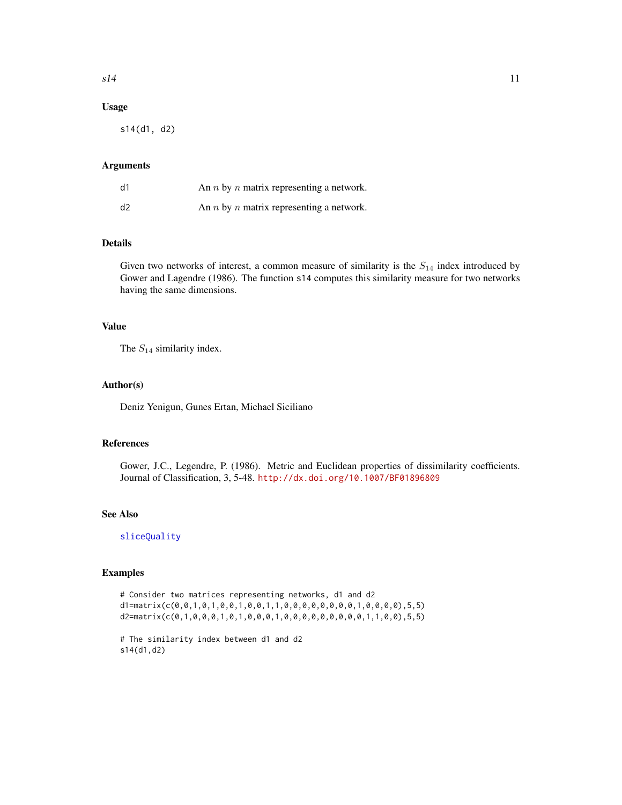## <span id="page-10-0"></span>Usage

s14(d1, d2)

#### Arguments

| d1 | An <i>n</i> by <i>n</i> matrix representing a network. |
|----|--------------------------------------------------------|
| d2 | An $n$ by $n$ matrix representing a network.           |

## Details

Given two networks of interest, a common measure of similarity is the  $S_{14}$  index introduced by Gower and Lagendre (1986). The function s14 computes this similarity measure for two networks having the same dimensions.

## Value

The  $S_{14}$  similarity index.

## Author(s)

Deniz Yenigun, Gunes Ertan, Michael Siciliano

## References

Gower, J.C., Legendre, P. (1986). Metric and Euclidean properties of dissimilarity coefficients. Journal of Classification, 3, 5-48. <http://dx.doi.org/10.1007/BF01896809>

## See Also

[sliceQuality](#page-11-1)

#### Examples

```
# Consider two matrices representing networks, d1 and d2
d1=matrix(c(0,0,1,0,1,0,0,1,0,0,1,1,0,0,0,0,0,0,0,0,1,0,0,0,0),5,5)
d2=matrix(c(0,1,0,0,0,1,0,1,0,0,0,1,0,0,0,0,0,0,0,0,0,1,1,0,0),5,5)
```

```
# The similarity index between d1 and d2
s14(d1,d2)
```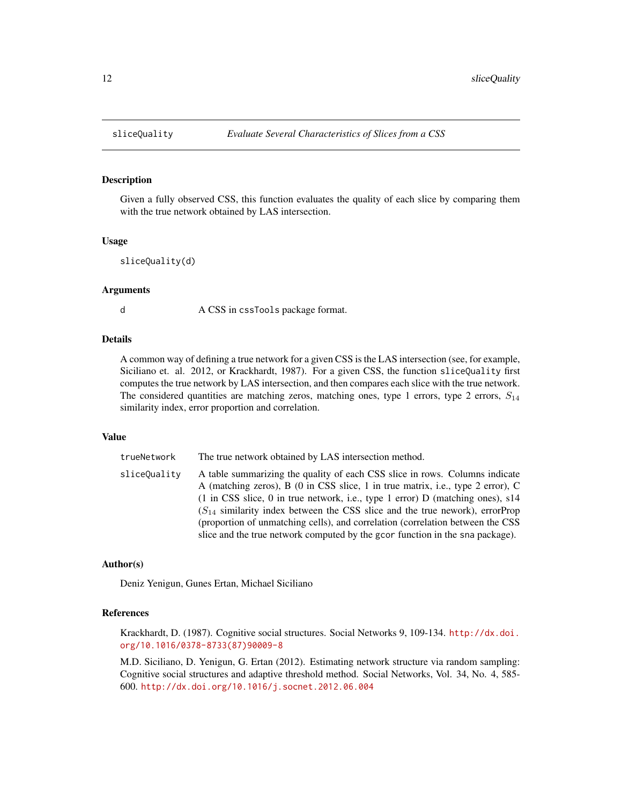## Description

Given a fully observed CSS, this function evaluates the quality of each slice by comparing them with the true network obtained by LAS intersection.

#### Usage

```
sliceQuality(d)
```
## Arguments

d A CSS in cssTools package format.

#### **Details**

A common way of defining a true network for a given CSS is the LAS intersection (see, for example, Siciliano et. al. 2012, or Krackhardt, 1987). For a given CSS, the function sliceQuality first computes the true network by LAS intersection, and then compares each slice with the true network. The considered quantities are matching zeros, matching ones, type 1 errors, type 2 errors,  $S_{14}$ similarity index, error proportion and correlation.

#### Value

trueNetwork The true network obtained by LAS intersection method. sliceQuality A table summarizing the quality of each CSS slice in rows. Columns indicate A (matching zeros), B (0 in CSS slice, 1 in true matrix, i.e., type 2 error), C (1 in CSS slice, 0 in true network, i.e., type 1 error) D (matching ones), s14  $(S<sub>14</sub>$  similarity index between the CSS slice and the true nework), errorProp (proportion of unmatching cells), and correlation (correlation between the CSS slice and the true network computed by the gcor function in the sna package).

## Author(s)

Deniz Yenigun, Gunes Ertan, Michael Siciliano

#### References

Krackhardt, D. (1987). Cognitive social structures. Social Networks 9, 109-134. [http://dx.doi.](http://dx.doi.org/10.1016/0378-8733(87)90009-8) [org/10.1016/0378-8733\(87\)90009-8](http://dx.doi.org/10.1016/0378-8733(87)90009-8)

M.D. Siciliano, D. Yenigun, G. Ertan (2012). Estimating network structure via random sampling: Cognitive social structures and adaptive threshold method. Social Networks, Vol. 34, No. 4, 585- 600. <http://dx.doi.org/10.1016/j.socnet.2012.06.004>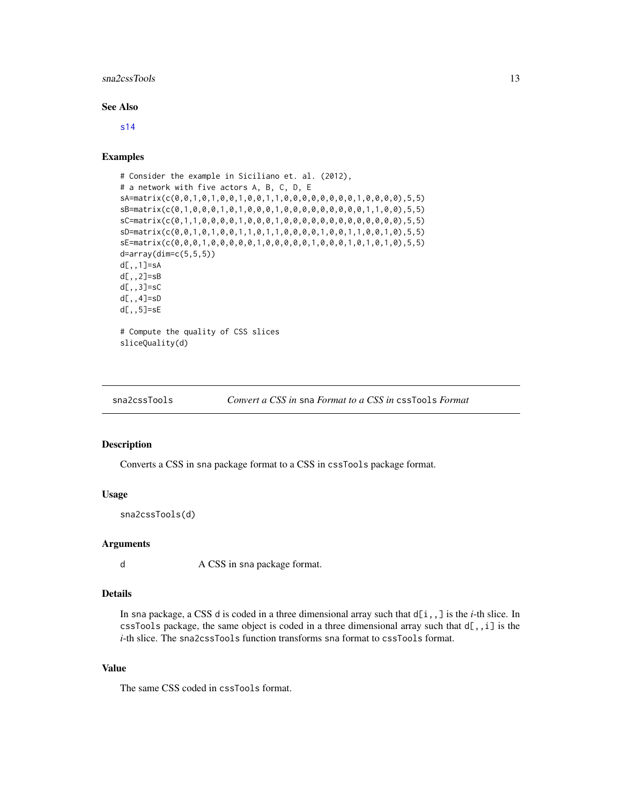#### <span id="page-12-0"></span>sna2cssTools 13

## See Also

[s14](#page-9-1)

## Examples

```
# Consider the example in Siciliano et. al. (2012),
# a network with five actors A, B, C, D, E
sA=matrix(c(0,0,1,0,1,0,0,1,0,0,1,1,0,0,0,0,0,0,0,0,1,0,0,0,0),5,5)
sB=matrix(c(0,1,0,0,0,1,0,1,0,0,0,1,0,0,0,0,0,0,0,0,0,1,1,0,0),5,5)
sC=matrix(c(0,1,1,0,0,0,0,1,0,0,0,1,0,0,0,0,0,0,0,0,0,0,0,0,0),5,5)
sD=matrix(c(0,0,1,0,1,0,0,1,1,0,1,1,0,0,0,0,1,0,0,1,1,0,0,1,0),5,5)
sE=matrix(c(0,0,0,1,0,0,0,0,0,1,0,0,0,0,0,1,0,0,0,1,0,1,0,1,0),5,5)
d=array(dim=c(5,5,5))
d[,,1]=sA
d[,,2]=sB
d[,,3]=sC
d[,,4]=sD
d[,,5]=sE
# Compute the quality of CSS slices
sliceQuality(d)
```
<span id="page-12-1"></span>sna2cssTools *Convert a CSS in* sna *Format to a CSS in* cssTools *Format*

#### Description

Converts a CSS in sna package format to a CSS in cssTools package format.

#### Usage

sna2cssTools(d)

#### Arguments

d A CSS in sna package format.

## Details

In sna package, a CSS d is coded in a three dimensional array such that  $d[i, j]$  is the *i*-th slice. In cssTools package, the same object is coded in a three dimensional array such that  $d[,$ , i] is the *i*-th slice. The sna2cssTools function transforms sna format to cssTools format.

#### Value

The same CSS coded in cssTools format.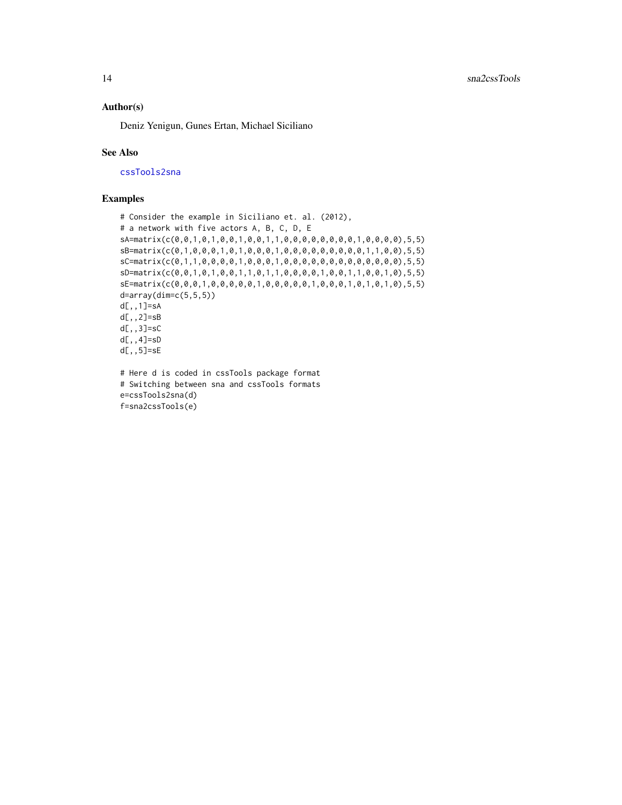## <span id="page-13-0"></span>Author(s)

Deniz Yenigun, Gunes Ertan, Michael Siciliano

#### See Also

[cssTools2sna](#page-3-1)

## Examples

```
# Consider the example in Siciliano et. al. (2012),
# a network with five actors A, B, C, D, E
sA=matrix(c(0,0,1,0,1,0,0,1,0,0,1,1,0,0,0,0,0,0,0,0,1,0,0,0,0),5,5)
sB=matrix(c(0,1,0,0,0,1,0,1,0,0,0,1,0,0,0,0,0,0,0,0,0,1,1,0,0),5,5)
sC=matrix(c(0,1,1,0,0,0,0,1,0,0,0,1,0,0,0,0,0,0,0,0,0,0,0,0,0),5,5)
sD=matrix(c(0,0,1,0,1,0,0,1,1,0,1,1,0,0,0,0,1,0,0,1,1,0,0,1,0),5,5)
sE=matrix(c(0,0,0,1,0,0,0,0,0,1,0,0,0,0,0,1,0,0,0,1,0,1,0,1,0),5,5)
d=array(dim=c(5,5,5))
d[,,1]=sA
d[,,2]=sB
d[,,3]=sC
d[,,4]=sD
d[,,5]=sE
# Here d is coded in cssTools package format
```
# Switching between sna and cssTools formats e=cssTools2sna(d) f=sna2cssTools(e)